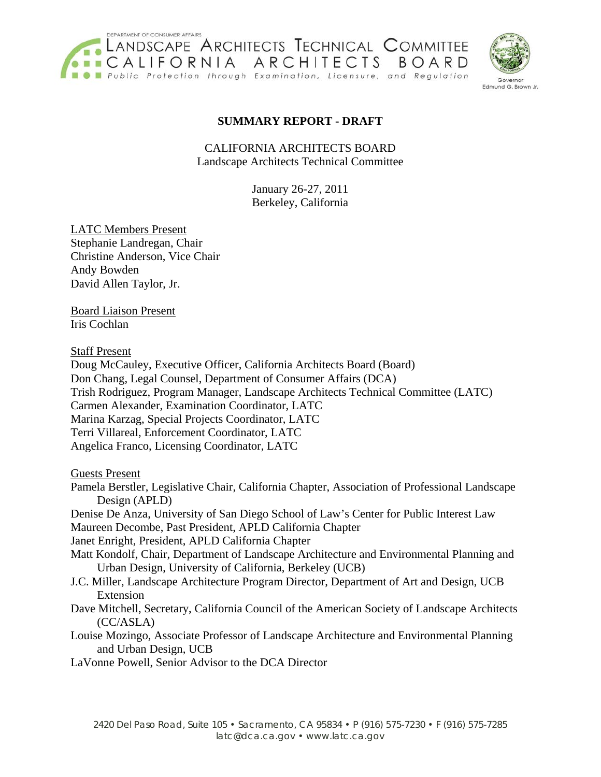



### **SUMMARY REPORT - DRAFT**

CALIFORNIA ARCHITECTS BOARD Landscape Architects Technical Committee

> January 26-27, 2011 Berkeley, California

LATC Members Present Stephanie Landregan, Chair Christine Anderson, Vice Chair Andy Bowden David Allen Taylor, Jr.

Board Liaison Present Iris Cochlan

Staff Present

Doug McCauley, Executive Officer, California Architects Board (Board) Don Chang, Legal Counsel, Department of Consumer Affairs (DCA) Trish Rodriguez, Program Manager, Landscape Architects Technical Committee (LATC) Carmen Alexander, Examination Coordinator, LATC Marina Karzag, Special Projects Coordinator, LATC Terri Villareal, Enforcement Coordinator, LATC Angelica Franco, Licensing Coordinator, LATC

Guests Present

Pamela Berstler, Legislative Chair, California Chapter, Association of Professional Landscape Design (APLD)

Denise De Anza, University of San Diego School of Law's Center for Public Interest Law Maureen Decombe, Past President, APLD California Chapter

Janet Enright, President, APLD California Chapter

- Matt Kondolf, Chair, Department of Landscape Architecture and Environmental Planning and Urban Design, University of California, Berkeley (UCB)
- J.C. Miller, Landscape Architecture Program Director, Department of Art and Design, UCB Extension
- Dave Mitchell, Secretary, California Council of the American Society of Landscape Architects (CC/ASLA)
- Louise Mozingo, Associate Professor of Landscape Architecture and Environmental Planning and Urban Design, UCB

LaVonne Powell, Senior Advisor to the DCA Director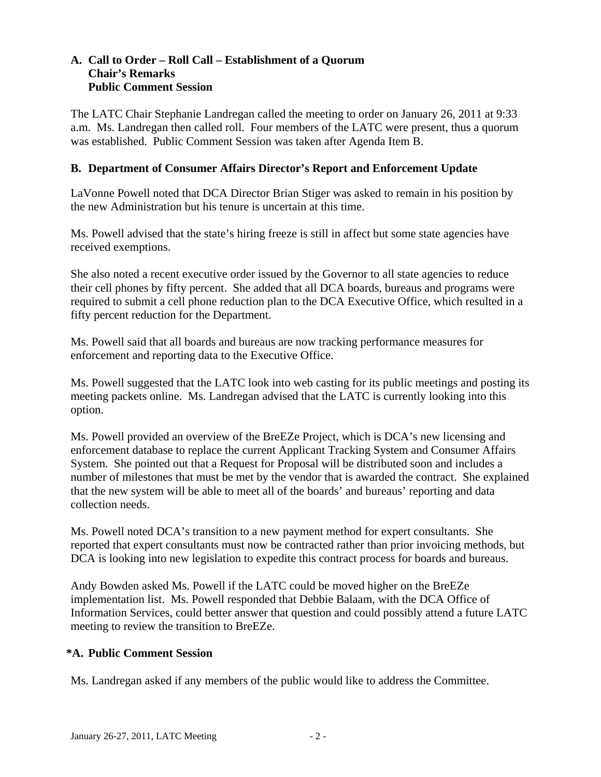#### **A. Call to Order – Roll Call – Establishment of a Quorum Chair's Remarks Public Comment Session**

The LATC Chair Stephanie Landregan called the meeting to order on January 26, 2011 at 9:33 a.m. Ms. Landregan then called roll. Four members of the LATC were present, thus a quorum was established. Public Comment Session was taken after Agenda Item B.

#### **B. Department of Consumer Affairs Director's Report and Enforcement Update**

LaVonne Powell noted that DCA Director Brian Stiger was asked to remain in his position by the new Administration but his tenure is uncertain at this time.

Ms. Powell advised that the state's hiring freeze is still in affect but some state agencies have received exemptions.

She also noted a recent executive order issued by the Governor to all state agencies to reduce their cell phones by fifty percent. She added that all DCA boards, bureaus and programs were required to submit a cell phone reduction plan to the DCA Executive Office, which resulted in a fifty percent reduction for the Department.

Ms. Powell said that all boards and bureaus are now tracking performance measures for enforcement and reporting data to the Executive Office.

Ms. Powell suggested that the LATC look into web casting for its public meetings and posting its meeting packets online. Ms. Landregan advised that the LATC is currently looking into this option.

Ms. Powell provided an overview of the BreEZe Project, which is DCA's new licensing and enforcement database to replace the current Applicant Tracking System and Consumer Affairs System. She pointed out that a Request for Proposal will be distributed soon and includes a number of milestones that must be met by the vendor that is awarded the contract. She explained that the new system will be able to meet all of the boards' and bureaus' reporting and data collection needs.

Ms. Powell noted DCA's transition to a new payment method for expert consultants. She reported that expert consultants must now be contracted rather than prior invoicing methods, but DCA is looking into new legislation to expedite this contract process for boards and bureaus.

Andy Bowden asked Ms. Powell if the LATC could be moved higher on the BreEZe implementation list. Ms. Powell responded that Debbie Balaam, with the DCA Office of Information Services, could better answer that question and could possibly attend a future LATC meeting to review the transition to BreEZe.

#### **\*A. Public Comment Session**

Ms. Landregan asked if any members of the public would like to address the Committee.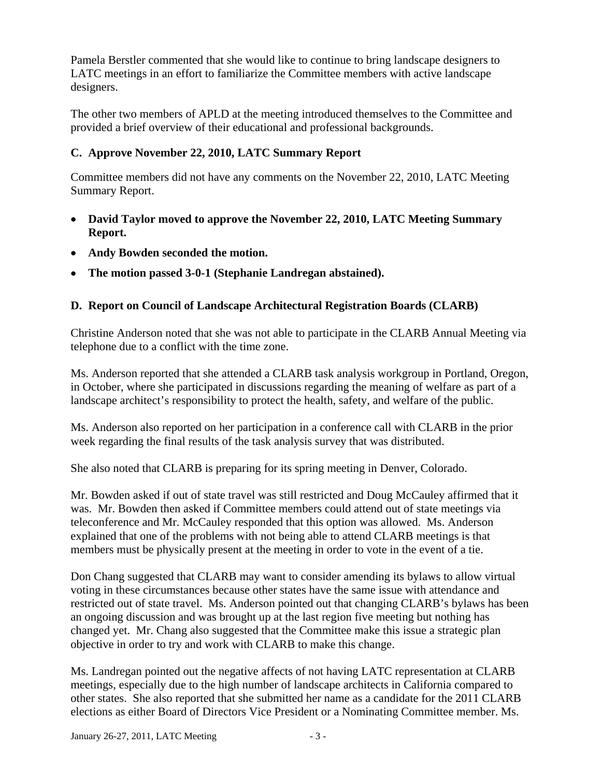Pamela Berstler commented that she would like to continue to bring landscape designers to LATC meetings in an effort to familiarize the Committee members with active landscape designers.

The other two members of APLD at the meeting introduced themselves to the Committee and provided a brief overview of their educational and professional backgrounds.

# **C. Approve November 22, 2010, LATC Summary Report**

Committee members did not have any comments on the November 22, 2010, LATC Meeting Summary Report.

- **David Taylor moved to approve the November 22, 2010, LATC Meeting Summary Report.**
- **Andy Bowden seconded the motion.**
- **The motion passed 3-0-1 (Stephanie Landregan abstained).**

## **D. Report on Council of Landscape Architectural Registration Boards (CLARB)**

Christine Anderson noted that she was not able to participate in the CLARB Annual Meeting via telephone due to a conflict with the time zone.

Ms. Anderson reported that she attended a CLARB task analysis workgroup in Portland, Oregon, in October, where she participated in discussions regarding the meaning of welfare as part of a landscape architect's responsibility to protect the health, safety, and welfare of the public.

Ms. Anderson also reported on her participation in a conference call with CLARB in the prior week regarding the final results of the task analysis survey that was distributed.

She also noted that CLARB is preparing for its spring meeting in Denver, Colorado.

Mr. Bowden asked if out of state travel was still restricted and Doug McCauley affirmed that it was. Mr. Bowden then asked if Committee members could attend out of state meetings via teleconference and Mr. McCauley responded that this option was allowed. Ms. Anderson explained that one of the problems with not being able to attend CLARB meetings is that members must be physically present at the meeting in order to vote in the event of a tie.

Don Chang suggested that CLARB may want to consider amending its bylaws to allow virtual voting in these circumstances because other states have the same issue with attendance and restricted out of state travel. Ms. Anderson pointed out that changing CLARB's bylaws has been an ongoing discussion and was brought up at the last region five meeting but nothing has changed yet. Mr. Chang also suggested that the Committee make this issue a strategic plan objective in order to try and work with CLARB to make this change.

Ms. Landregan pointed out the negative affects of not having LATC representation at CLARB meetings, especially due to the high number of landscape architects in California compared to other states. She also reported that she submitted her name as a candidate for the 2011 CLARB elections as either Board of Directors Vice President or a Nominating Committee member. Ms.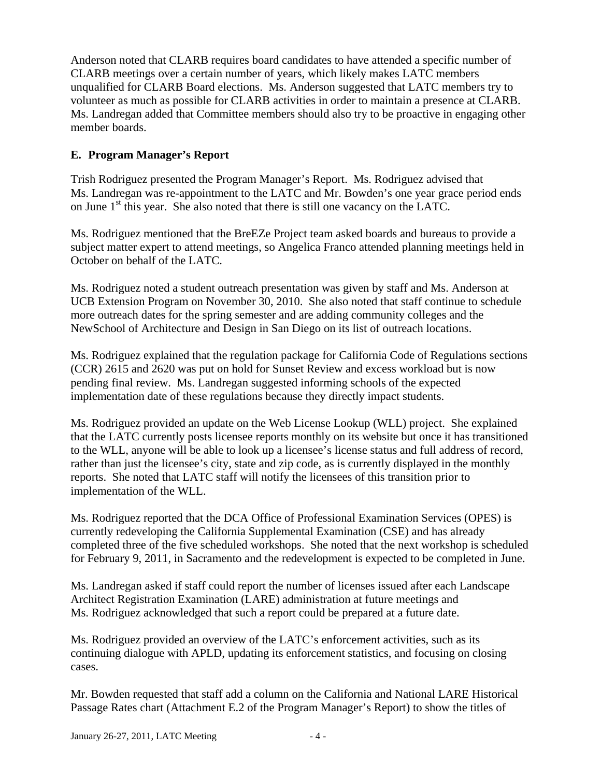Anderson noted that CLARB requires board candidates to have attended a specific number of CLARB meetings over a certain number of years, which likely makes LATC members unqualified for CLARB Board elections. Ms. Anderson suggested that LATC members try to volunteer as much as possible for CLARB activities in order to maintain a presence at CLARB. Ms. Landregan added that Committee members should also try to be proactive in engaging other member boards.

# **E. Program Manager's Report**

Trish Rodriguez presented the Program Manager's Report. Ms. Rodriguez advised that Ms. Landregan was re-appointment to the LATC and Mr. Bowden's one year grace period ends on June  $1<sup>st</sup>$  this year. She also noted that there is still one vacancy on the LATC.

Ms. Rodriguez mentioned that the BreEZe Project team asked boards and bureaus to provide a subject matter expert to attend meetings, so Angelica Franco attended planning meetings held in October on behalf of the LATC.

Ms. Rodriguez noted a student outreach presentation was given by staff and Ms. Anderson at UCB Extension Program on November 30, 2010. She also noted that staff continue to schedule more outreach dates for the spring semester and are adding community colleges and the NewSchool of Architecture and Design in San Diego on its list of outreach locations.

Ms. Rodriguez explained that the regulation package for California Code of Regulations sections (CCR) 2615 and 2620 was put on hold for Sunset Review and excess workload but is now pending final review. Ms. Landregan suggested informing schools of the expected implementation date of these regulations because they directly impact students.

Ms. Rodriguez provided an update on the Web License Lookup (WLL) project. She explained that the LATC currently posts licensee reports monthly on its website but once it has transitioned to the WLL, anyone will be able to look up a licensee's license status and full address of record, rather than just the licensee's city, state and zip code, as is currently displayed in the monthly reports. She noted that LATC staff will notify the licensees of this transition prior to implementation of the WLL.

Ms. Rodriguez reported that the DCA Office of Professional Examination Services (OPES) is currently redeveloping the California Supplemental Examination (CSE) and has already completed three of the five scheduled workshops. She noted that the next workshop is scheduled for February 9, 2011, in Sacramento and the redevelopment is expected to be completed in June.

Ms. Landregan asked if staff could report the number of licenses issued after each Landscape Architect Registration Examination (LARE) administration at future meetings and Ms. Rodriguez acknowledged that such a report could be prepared at a future date.

Ms. Rodriguez provided an overview of the LATC's enforcement activities, such as its continuing dialogue with APLD, updating its enforcement statistics, and focusing on closing cases.

Mr. Bowden requested that staff add a column on the California and National LARE Historical Passage Rates chart (Attachment E.2 of the Program Manager's Report) to show the titles of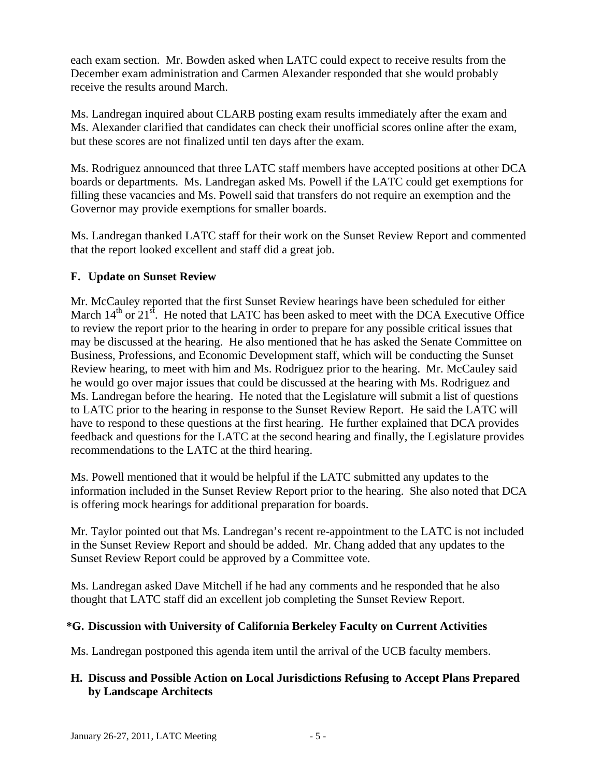each exam section. Mr. Bowden asked when LATC could expect to receive results from the December exam administration and Carmen Alexander responded that she would probably receive the results around March.

Ms. Landregan inquired about CLARB posting exam results immediately after the exam and Ms. Alexander clarified that candidates can check their unofficial scores online after the exam, but these scores are not finalized until ten days after the exam.

Ms. Rodriguez announced that three LATC staff members have accepted positions at other DCA boards or departments. Ms. Landregan asked Ms. Powell if the LATC could get exemptions for filling these vacancies and Ms. Powell said that transfers do not require an exemption and the Governor may provide exemptions for smaller boards.

Ms. Landregan thanked LATC staff for their work on the Sunset Review Report and commented that the report looked excellent and staff did a great job.

### **F. Update on Sunset Review**

Mr. McCauley reported that the first Sunset Review hearings have been scheduled for either March  $14<sup>th</sup>$  or  $21<sup>st</sup>$ . He noted that LATC has been asked to meet with the DCA Executive Office to review the report prior to the hearing in order to prepare for any possible critical issues that may be discussed at the hearing. He also mentioned that he has asked the Senate Committee on Business, Professions, and Economic Development staff, which will be conducting the Sunset Review hearing, to meet with him and Ms. Rodriguez prior to the hearing. Mr. McCauley said he would go over major issues that could be discussed at the hearing with Ms. Rodriguez and Ms. Landregan before the hearing. He noted that the Legislature will submit a list of questions to LATC prior to the hearing in response to the Sunset Review Report. He said the LATC will have to respond to these questions at the first hearing. He further explained that DCA provides feedback and questions for the LATC at the second hearing and finally, the Legislature provides recommendations to the LATC at the third hearing.

Ms. Powell mentioned that it would be helpful if the LATC submitted any updates to the information included in the Sunset Review Report prior to the hearing. She also noted that DCA is offering mock hearings for additional preparation for boards.

Mr. Taylor pointed out that Ms. Landregan's recent re-appointment to the LATC is not included in the Sunset Review Report and should be added. Mr. Chang added that any updates to the Sunset Review Report could be approved by a Committee vote.

Ms. Landregan asked Dave Mitchell if he had any comments and he responded that he also thought that LATC staff did an excellent job completing the Sunset Review Report.

### **\*G. Discussion with University of California Berkeley Faculty on Current Activities**

Ms. Landregan postponed this agenda item until the arrival of the UCB faculty members.

### **H. Discuss and Possible Action on Local Jurisdictions Refusing to Accept Plans Prepared by Landscape Architects**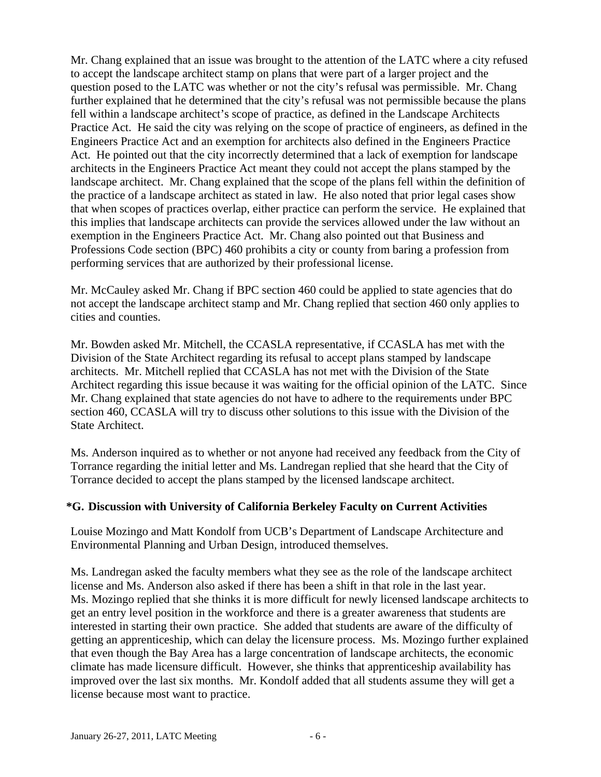Mr. Chang explained that an issue was brought to the attention of the LATC where a city refused to accept the landscape architect stamp on plans that were part of a larger project and the question posed to the LATC was whether or not the city's refusal was permissible. Mr. Chang further explained that he determined that the city's refusal was not permissible because the plans fell within a landscape architect's scope of practice, as defined in the Landscape Architects Practice Act. He said the city was relying on the scope of practice of engineers, as defined in the Engineers Practice Act and an exemption for architects also defined in the Engineers Practice Act. He pointed out that the city incorrectly determined that a lack of exemption for landscape architects in the Engineers Practice Act meant they could not accept the plans stamped by the landscape architect. Mr. Chang explained that the scope of the plans fell within the definition of the practice of a landscape architect as stated in law. He also noted that prior legal cases show that when scopes of practices overlap, either practice can perform the service. He explained that this implies that landscape architects can provide the services allowed under the law without an exemption in the Engineers Practice Act. Mr. Chang also pointed out that Business and Professions Code section (BPC) 460 prohibits a city or county from baring a profession from performing services that are authorized by their professional license.

Mr. McCauley asked Mr. Chang if BPC section 460 could be applied to state agencies that do not accept the landscape architect stamp and Mr. Chang replied that section 460 only applies to cities and counties.

Mr. Bowden asked Mr. Mitchell, the CCASLA representative, if CCASLA has met with the Division of the State Architect regarding its refusal to accept plans stamped by landscape architects. Mr. Mitchell replied that CCASLA has not met with the Division of the State Architect regarding this issue because it was waiting for the official opinion of the LATC. Since Mr. Chang explained that state agencies do not have to adhere to the requirements under BPC section 460, CCASLA will try to discuss other solutions to this issue with the Division of the State Architect.

Ms. Anderson inquired as to whether or not anyone had received any feedback from the City of Torrance regarding the initial letter and Ms. Landregan replied that she heard that the City of Torrance decided to accept the plans stamped by the licensed landscape architect.

### **\*G. Discussion with University of California Berkeley Faculty on Current Activities**

Louise Mozingo and Matt Kondolf from UCB's Department of Landscape Architecture and Environmental Planning and Urban Design, introduced themselves.

Ms. Landregan asked the faculty members what they see as the role of the landscape architect license and Ms. Anderson also asked if there has been a shift in that role in the last year. Ms. Mozingo replied that she thinks it is more difficult for newly licensed landscape architects to get an entry level position in the workforce and there is a greater awareness that students are interested in starting their own practice. She added that students are aware of the difficulty of getting an apprenticeship, which can delay the licensure process. Ms. Mozingo further explained that even though the Bay Area has a large concentration of landscape architects, the economic climate has made licensure difficult. However, she thinks that apprenticeship availability has improved over the last six months. Mr. Kondolf added that all students assume they will get a license because most want to practice.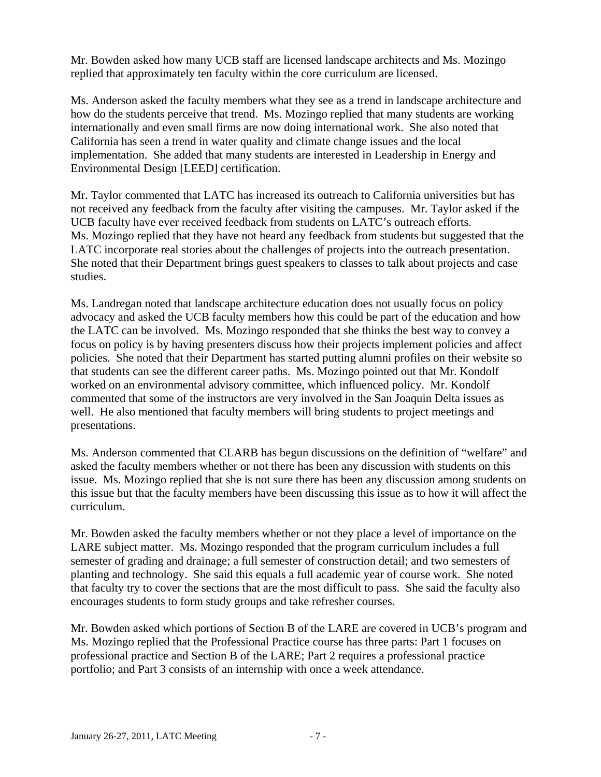Mr. Bowden asked how many UCB staff are licensed landscape architects and Ms. Mozingo replied that approximately ten faculty within the core curriculum are licensed.

Ms. Anderson asked the faculty members what they see as a trend in landscape architecture and how do the students perceive that trend. Ms. Mozingo replied that many students are working internationally and even small firms are now doing international work. She also noted that California has seen a trend in water quality and climate change issues and the local implementation. She added that many students are interested in Leadership in Energy and Environmental Design [LEED] certification.

Mr. Taylor commented that LATC has increased its outreach to California universities but has not received any feedback from the faculty after visiting the campuses. Mr. Taylor asked if the UCB faculty have ever received feedback from students on LATC's outreach efforts. Ms. Mozingo replied that they have not heard any feedback from students but suggested that the LATC incorporate real stories about the challenges of projects into the outreach presentation. She noted that their Department brings guest speakers to classes to talk about projects and case studies.

Ms. Landregan noted that landscape architecture education does not usually focus on policy advocacy and asked the UCB faculty members how this could be part of the education and how the LATC can be involved. Ms. Mozingo responded that she thinks the best way to convey a focus on policy is by having presenters discuss how their projects implement policies and affect policies. She noted that their Department has started putting alumni profiles on their website so that students can see the different career paths. Ms. Mozingo pointed out that Mr. Kondolf worked on an environmental advisory committee, which influenced policy. Mr. Kondolf commented that some of the instructors are very involved in the San Joaquin Delta issues as well. He also mentioned that faculty members will bring students to project meetings and presentations.

Ms. Anderson commented that CLARB has begun discussions on the definition of "welfare" and asked the faculty members whether or not there has been any discussion with students on this issue. Ms. Mozingo replied that she is not sure there has been any discussion among students on this issue but that the faculty members have been discussing this issue as to how it will affect the curriculum.

Mr. Bowden asked the faculty members whether or not they place a level of importance on the LARE subject matter. Ms. Mozingo responded that the program curriculum includes a full semester of grading and drainage; a full semester of construction detail; and two semesters of planting and technology. She said this equals a full academic year of course work. She noted that faculty try to cover the sections that are the most difficult to pass. She said the faculty also encourages students to form study groups and take refresher courses.

Mr. Bowden asked which portions of Section B of the LARE are covered in UCB's program and Ms. Mozingo replied that the Professional Practice course has three parts: Part 1 focuses on professional practice and Section B of the LARE; Part 2 requires a professional practice portfolio; and Part 3 consists of an internship with once a week attendance.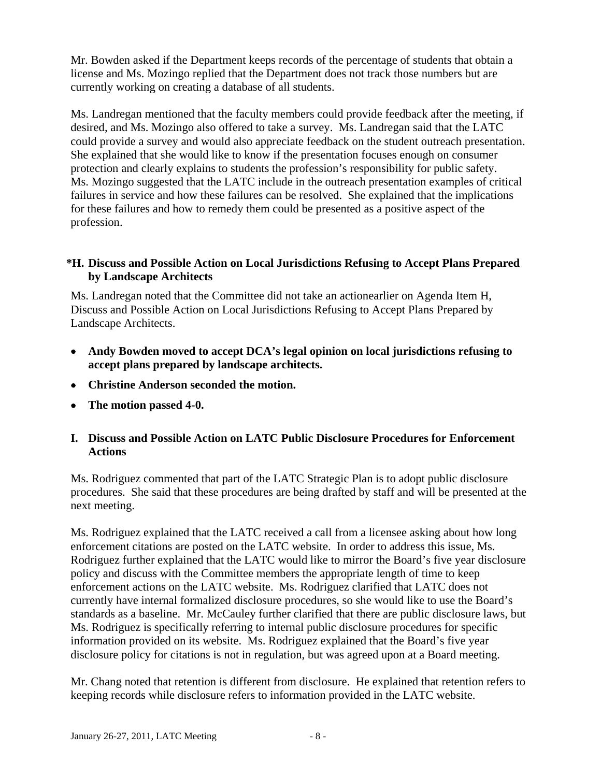Mr. Bowden asked if the Department keeps records of the percentage of students that obtain a license and Ms. Mozingo replied that the Department does not track those numbers but are currently working on creating a database of all students.

Ms. Landregan mentioned that the faculty members could provide feedback after the meeting, if desired, and Ms. Mozingo also offered to take a survey. Ms. Landregan said that the LATC could provide a survey and would also appreciate feedback on the student outreach presentation. She explained that she would like to know if the presentation focuses enough on consumer protection and clearly explains to students the profession's responsibility for public safety. Ms. Mozingo suggested that the LATC include in the outreach presentation examples of critical failures in service and how these failures can be resolved. She explained that the implications for these failures and how to remedy them could be presented as a positive aspect of the profession.

### **\*H. Discuss and Possible Action on Local Jurisdictions Refusing to Accept Plans Prepared by Landscape Architects**

Ms. Landregan noted that the Committee did not take an actionearlier on Agenda Item H, Discuss and Possible Action on Local Jurisdictions Refusing to Accept Plans Prepared by Landscape Architects.

- **Andy Bowden moved to accept DCA's legal opinion on local jurisdictions refusing to accept plans prepared by landscape architects.**
- **Christine Anderson seconded the motion.**
- **The motion passed 4-0.**

#### **I. Discuss and Possible Action on LATC Public Disclosure Procedures for Enforcement Actions**

Ms. Rodriguez commented that part of the LATC Strategic Plan is to adopt public disclosure procedures. She said that these procedures are being drafted by staff and will be presented at the next meeting.

Ms. Rodriguez explained that the LATC received a call from a licensee asking about how long enforcement citations are posted on the LATC website. In order to address this issue, Ms. Rodriguez further explained that the LATC would like to mirror the Board's five year disclosure policy and discuss with the Committee members the appropriate length of time to keep enforcement actions on the LATC website. Ms. Rodriguez clarified that LATC does not currently have internal formalized disclosure procedures, so she would like to use the Board's standards as a baseline. Mr. McCauley further clarified that there are public disclosure laws, but Ms. Rodriguez is specifically referring to internal public disclosure procedures for specific information provided on its website. Ms. Rodriguez explained that the Board's five year disclosure policy for citations is not in regulation, but was agreed upon at a Board meeting.

Mr. Chang noted that retention is different from disclosure. He explained that retention refers to keeping records while disclosure refers to information provided in the LATC website.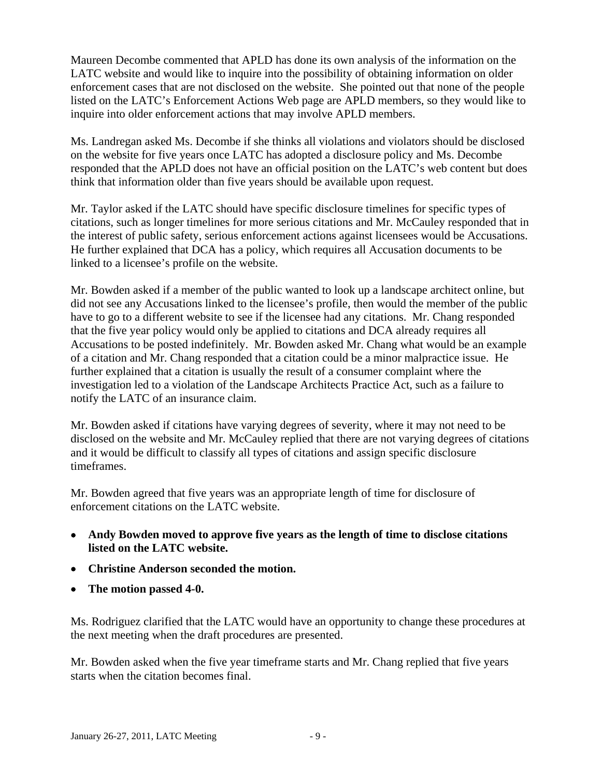Maureen Decombe commented that APLD has done its own analysis of the information on the LATC website and would like to inquire into the possibility of obtaining information on older enforcement cases that are not disclosed on the website. She pointed out that none of the people listed on the LATC's Enforcement Actions Web page are APLD members, so they would like to inquire into older enforcement actions that may involve APLD members.

Ms. Landregan asked Ms. Decombe if she thinks all violations and violators should be disclosed on the website for five years once LATC has adopted a disclosure policy and Ms. Decombe responded that the APLD does not have an official position on the LATC's web content but does think that information older than five years should be available upon request.

Mr. Taylor asked if the LATC should have specific disclosure timelines for specific types of citations, such as longer timelines for more serious citations and Mr. McCauley responded that in the interest of public safety, serious enforcement actions against licensees would be Accusations. He further explained that DCA has a policy, which requires all Accusation documents to be linked to a licensee's profile on the website.

Mr. Bowden asked if a member of the public wanted to look up a landscape architect online, but did not see any Accusations linked to the licensee's profile, then would the member of the public have to go to a different website to see if the licensee had any citations. Mr. Chang responded that the five year policy would only be applied to citations and DCA already requires all Accusations to be posted indefinitely. Mr. Bowden asked Mr. Chang what would be an example of a citation and Mr. Chang responded that a citation could be a minor malpractice issue. He further explained that a citation is usually the result of a consumer complaint where the investigation led to a violation of the Landscape Architects Practice Act, such as a failure to notify the LATC of an insurance claim.

Mr. Bowden asked if citations have varying degrees of severity, where it may not need to be disclosed on the website and Mr. McCauley replied that there are not varying degrees of citations and it would be difficult to classify all types of citations and assign specific disclosure timeframes.

Mr. Bowden agreed that five years was an appropriate length of time for disclosure of enforcement citations on the LATC website.

- **Andy Bowden moved to approve five years as the length of time to disclose citations listed on the LATC website.**
- **Christine Anderson seconded the motion.**
- **The motion passed 4-0.**

Ms. Rodriguez clarified that the LATC would have an opportunity to change these procedures at the next meeting when the draft procedures are presented.

Mr. Bowden asked when the five year timeframe starts and Mr. Chang replied that five years starts when the citation becomes final.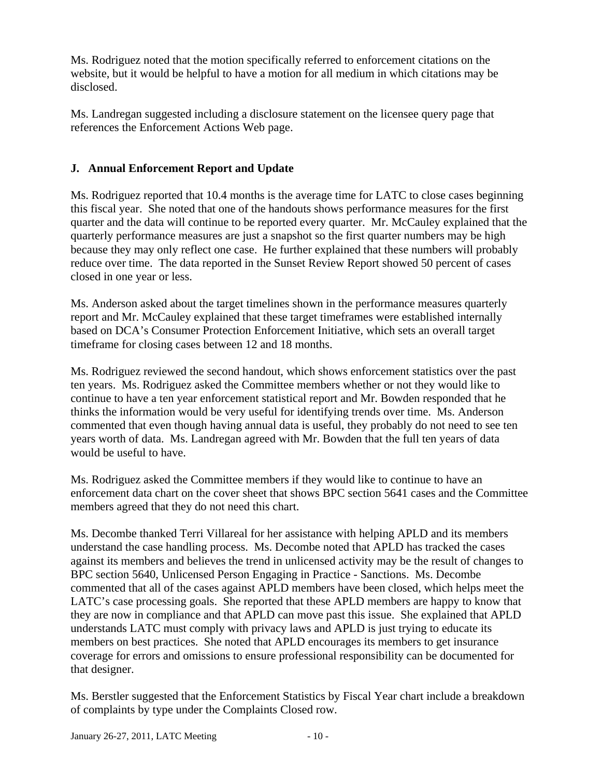Ms. Rodriguez noted that the motion specifically referred to enforcement citations on the website, but it would be helpful to have a motion for all medium in which citations may be disclosed.

Ms. Landregan suggested including a disclosure statement on the licensee query page that references the Enforcement Actions Web page.

# **J. Annual Enforcement Report and Update**

Ms. Rodriguez reported that 10.4 months is the average time for LATC to close cases beginning this fiscal year. She noted that one of the handouts shows performance measures for the first quarter and the data will continue to be reported every quarter. Mr. McCauley explained that the quarterly performance measures are just a snapshot so the first quarter numbers may be high because they may only reflect one case. He further explained that these numbers will probably reduce over time. The data reported in the Sunset Review Report showed 50 percent of cases closed in one year or less.

Ms. Anderson asked about the target timelines shown in the performance measures quarterly report and Mr. McCauley explained that these target timeframes were established internally based on DCA's Consumer Protection Enforcement Initiative, which sets an overall target timeframe for closing cases between 12 and 18 months.

Ms. Rodriguez reviewed the second handout, which shows enforcement statistics over the past ten years. Ms. Rodriguez asked the Committee members whether or not they would like to continue to have a ten year enforcement statistical report and Mr. Bowden responded that he thinks the information would be very useful for identifying trends over time. Ms. Anderson commented that even though having annual data is useful, they probably do not need to see ten years worth of data. Ms. Landregan agreed with Mr. Bowden that the full ten years of data would be useful to have.

Ms. Rodriguez asked the Committee members if they would like to continue to have an enforcement data chart on the cover sheet that shows BPC section 5641 cases and the Committee members agreed that they do not need this chart.

Ms. Decombe thanked Terri Villareal for her assistance with helping APLD and its members understand the case handling process. Ms. Decombe noted that APLD has tracked the cases against its members and believes the trend in unlicensed activity may be the result of changes to BPC section 5640, Unlicensed Person Engaging in Practice - Sanctions. Ms. Decombe commented that all of the cases against APLD members have been closed, which helps meet the LATC's case processing goals. She reported that these APLD members are happy to know that they are now in compliance and that APLD can move past this issue. She explained that APLD understands LATC must comply with privacy laws and APLD is just trying to educate its members on best practices. She noted that APLD encourages its members to get insurance coverage for errors and omissions to ensure professional responsibility can be documented for that designer.

Ms. Berstler suggested that the Enforcement Statistics by Fiscal Year chart include a breakdown of complaints by type under the Complaints Closed row.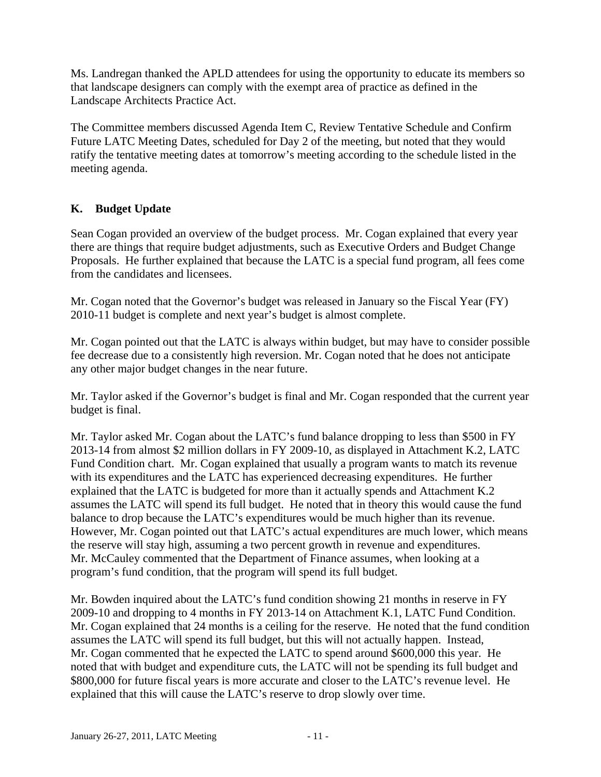Ms. Landregan thanked the APLD attendees for using the opportunity to educate its members so that landscape designers can comply with the exempt area of practice as defined in the Landscape Architects Practice Act.

The Committee members discussed Agenda Item C, Review Tentative Schedule and Confirm Future LATC Meeting Dates, scheduled for Day 2 of the meeting, but noted that they would ratify the tentative meeting dates at tomorrow's meeting according to the schedule listed in the meeting agenda.

# **K. Budget Update**

Sean Cogan provided an overview of the budget process. Mr. Cogan explained that every year there are things that require budget adjustments, such as Executive Orders and Budget Change Proposals. He further explained that because the LATC is a special fund program, all fees come from the candidates and licensees.

Mr. Cogan noted that the Governor's budget was released in January so the Fiscal Year (FY) 2010-11 budget is complete and next year's budget is almost complete.

Mr. Cogan pointed out that the LATC is always within budget, but may have to consider possible fee decrease due to a consistently high reversion. Mr. Cogan noted that he does not anticipate any other major budget changes in the near future.

Mr. Taylor asked if the Governor's budget is final and Mr. Cogan responded that the current year budget is final.

the reserve will stay high, assuming a two percent growth in revenue and expenditures. Mr. Taylor asked Mr. Cogan about the LATC's fund balance dropping to less than \$500 in FY 2013-14 from almost \$2 million dollars in FY 2009-10, as displayed in Attachment K.2, LATC Fund Condition chart. Mr. Cogan explained that usually a program wants to match its revenue with its expenditures and the LATC has experienced decreasing expenditures. He further explained that the LATC is budgeted for more than it actually spends and Attachment K.2 assumes the LATC will spend its full budget. He noted that in theory this would cause the fund balance to drop because the LATC's expenditures would be much higher than its revenue. However, Mr. Cogan pointed out that LATC's actual expenditures are much lower, which means Mr. McCauley commented that the Department of Finance assumes, when looking at a program's fund condition, that the program will spend its full budget.

Mr. Bowden inquired about the LATC's fund condition showing 21 months in reserve in FY 2009-10 and dropping to 4 months in FY 2013-14 on Attachment K.1, LATC Fund Condition. Mr. Cogan explained that 24 months is a ceiling for the reserve. He noted that the fund condition assumes the LATC will spend its full budget, but this will not actually happen. Instead, Mr. Cogan commented that he expected the LATC to spend around \$600,000 this year. He noted that with budget and expenditure cuts, the LATC will not be spending its full budget and \$800,000 for future fiscal years is more accurate and closer to the LATC's revenue level. He explained that this will cause the LATC's reserve to drop slowly over time.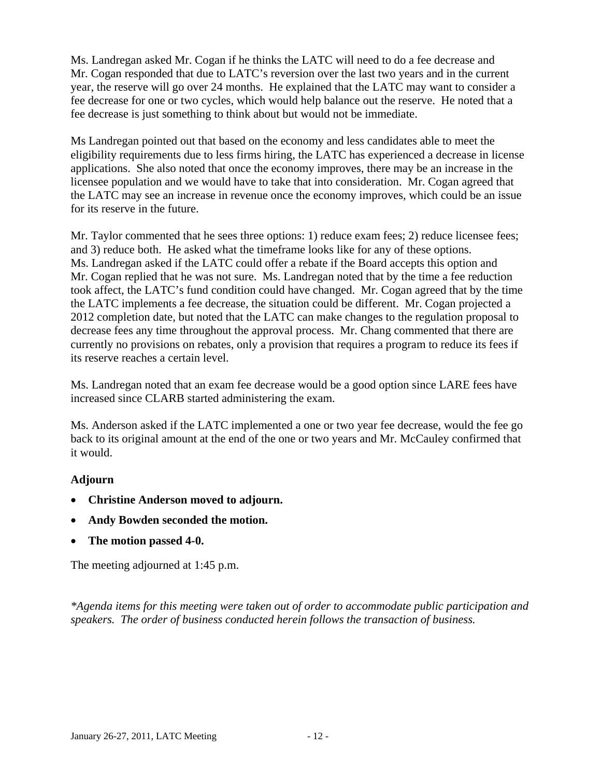Ms. Landregan asked Mr. Cogan if he thinks the LATC will need to do a fee decrease and Mr. Cogan responded that due to LATC's reversion over the last two years and in the current year, the reserve will go over 24 months. He explained that the LATC may want to consider a fee decrease for one or two cycles, which would help balance out the reserve. He noted that a fee decrease is just something to think about but would not be immediate.

Ms Landregan pointed out that based on the economy and less candidates able to meet the eligibility requirements due to less firms hiring, the LATC has experienced a decrease in license applications. She also noted that once the economy improves, there may be an increase in the licensee population and we would have to take that into consideration. Mr. Cogan agreed that the LATC may see an increase in revenue once the economy improves, which could be an issue for its reserve in the future.

Mr. Taylor commented that he sees three options: 1) reduce exam fees; 2) reduce licensee fees; and 3) reduce both. He asked what the timeframe looks like for any of these options. Ms. Landregan asked if the LATC could offer a rebate if the Board accepts this option and Mr. Cogan replied that he was not sure. Ms. Landregan noted that by the time a fee reduction took affect, the LATC's fund condition could have changed. Mr. Cogan agreed that by the time the LATC implements a fee decrease, the situation could be different. Mr. Cogan projected a 2012 completion date, but noted that the LATC can make changes to the regulation proposal to decrease fees any time throughout the approval process. Mr. Chang commented that there are currently no provisions on rebates, only a provision that requires a program to reduce its fees if its reserve reaches a certain level.

Ms. Landregan noted that an exam fee decrease would be a good option since LARE fees have increased since CLARB started administering the exam.

Ms. Anderson asked if the LATC implemented a one or two year fee decrease, would the fee go back to its original amount at the end of the one or two years and Mr. McCauley confirmed that it would.

### **Adjourn**

- **Christine Anderson moved to adjourn.**
- **Andy Bowden seconded the motion.**
- **The motion passed 4-0.**

The meeting adjourned at 1:45 p.m.

*\*Agenda items for this meeting were taken out of order to accommodate public participation and speakers. The order of business conducted herein follows the transaction of business.*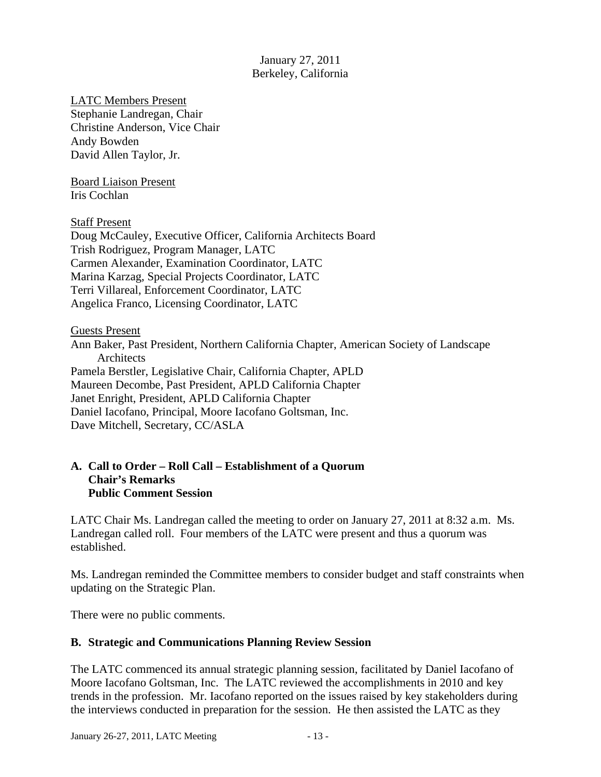January 27, 2011 Berkeley, California

LATC Members Present Stephanie Landregan, Chair Christine Anderson, Vice Chair Andy Bowden David Allen Taylor, Jr.

Board Liaison Present Iris Cochlan

Staff Present

Doug McCauley, Executive Officer, California Architects Board Trish Rodriguez, Program Manager, LATC Carmen Alexander, Examination Coordinator, LATC Marina Karzag, Special Projects Coordinator, LATC Terri Villareal, Enforcement Coordinator, LATC Angelica Franco, Licensing Coordinator, LATC

Guests Present Ann Baker, Past President, Northern California Chapter, American Society of Landscape **Architects** Pamela Berstler, Legislative Chair, California Chapter, APLD Maureen Decombe, Past President, APLD California Chapter Janet Enright, President, APLD California Chapter Daniel Iacofano, Principal, Moore Iacofano Goltsman, Inc. Dave Mitchell, Secretary, CC/ASLA

### **A. Call to Order – Roll Call – Establishment of a Quorum Chair's Remarks Public Comment Session**

LATC Chair Ms. Landregan called the meeting to order on January 27, 2011 at 8:32 a.m. Ms. Landregan called roll. Four members of the LATC were present and thus a quorum was established.

Ms. Landregan reminded the Committee members to consider budget and staff constraints when updating on the Strategic Plan.

There were no public comments.

### **B. Strategic and Communications Planning Review Session**

 trends in the profession. Mr. Iacofano reported on the issues raised by key stakeholders during The LATC commenced its annual strategic planning session, facilitated by Daniel Iacofano of Moore Iacofano Goltsman, Inc. The LATC reviewed the accomplishments in 2010 and key the interviews conducted in preparation for the session. He then assisted the LATC as they